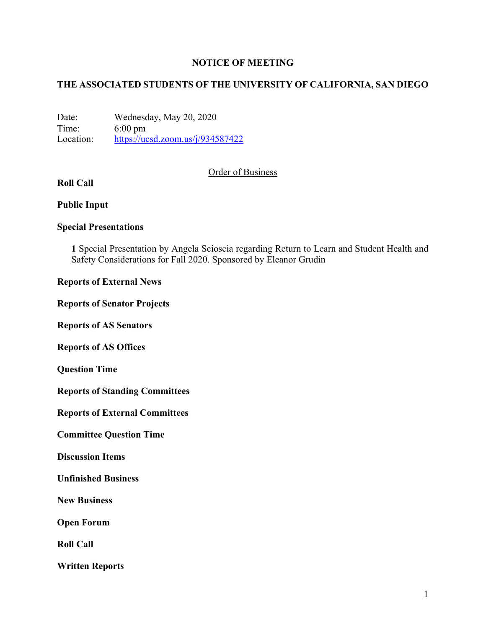### **NOTICE OF MEETING**

## **THE ASSOCIATED STUDENTS OF THE UNIVERSITY OF CALIFORNIA, SAN DIEGO**

Date: Wednesday, May 20, 2020 Time: 6:00 pm Location: https://ucsd.zoom.us/j/934587422

#### Order of Business

# **Roll Call**

#### **Public Input**

### **Special Presentations**

**1** Special Presentation by Angela Scioscia regarding Return to Learn and Student Health and Safety Considerations for Fall 2020. Sponsored by Eleanor Grudin

#### **Reports of External News**

#### **Reports of Senator Projects**

**Reports of AS Senators**

**Reports of AS Offices**

**Question Time**

**Reports of Standing Committees**

**Reports of External Committees**

**Committee Question Time**

**Discussion Items**

**Unfinished Business**

**New Business**

**Open Forum**

**Roll Call**

**Written Reports**